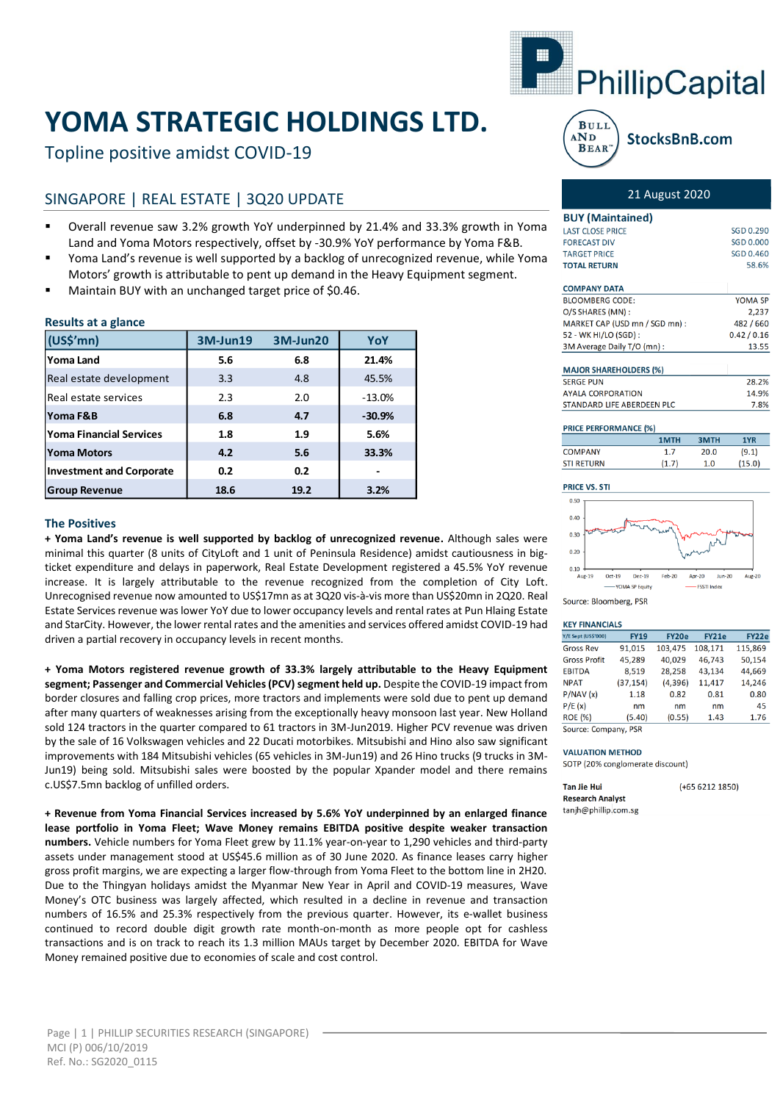# **YOMA STRATEGIC HOLDINGS LTD.**

Topline positive amidst COVID-19

# SINGAPORE | REAL ESTATE | 3Q20 UPDATE

- Overall revenue saw 3.2% growth YoY underpinned by 21.4% and 33.3% growth in Yoma Land and Yoma Motors respectively, offset by -30.9% YoY performance by Yoma F&B.
- Yoma Land's revenue is well supported by a backlog of unrecognized revenue, while Yoma Motors' growth is attributable to pent up demand in the Heavy Equipment segment.
- Maintain BUY with an unchanged target price of \$0.46.

# **Results at a glance**

| (US\$'mn)                       | 3M-Jun19 | 3M-Jun20 | YoY      |
|---------------------------------|----------|----------|----------|
| Yoma Land                       | 5.6      | 6.8      | 21.4%    |
| Real estate development         | 3.3      | 4.8      | 45.5%    |
| Real estate services            | 2.3      | 2.0      | $-13.0%$ |
| <b>Yoma F&amp;B</b>             | 6.8      | 4.7      | $-30.9%$ |
| <b>Yoma Financial Services</b>  | 1.8      | 1.9      | 5.6%     |
| <b>Yoma Motors</b>              | 4.2      | 5.6      | 33.3%    |
| <b>Investment and Corporate</b> | 0.2      | 0.2      |          |
| <b>Group Revenue</b>            | 18.6     | 19.2     | 3.2%     |

#### **The Positives**

**+ Yoma Land's revenue is well supported by backlog of unrecognized revenue.** Although sales were minimal this quarter (8 units of CityLoft and 1 unit of Peninsula Residence) amidst cautiousness in bigticket expenditure and delays in paperwork, Real Estate Development registered a 45.5% YoY revenue increase. It is largely attributable to the revenue recognized from the completion of City Loft. Unrecognised revenue now amounted to US\$17mn as at 3Q20 vis-à-vis more than US\$20mn in 2Q20. Real Estate Services revenue was lower YoY due to lower occupancy levels and rental rates at Pun Hlaing Estate and StarCity. However, the lower rental rates and the amenities and services offered amidst COVID-19 had driven a partial recovery in occupancy levels in recent months.

**+ Yoma Motors registered revenue growth of 33.3% largely attributable to the Heavy Equipment segment; Passenger and Commercial Vehicles (PCV) segment held up.** Despite the COVID-19 impact from border closures and falling crop prices, more tractors and implements were sold due to pent up demand after many quarters of weaknesses arising from the exceptionally heavy monsoon last year. New Holland sold 124 tractors in the quarter compared to 61 tractors in 3M-Jun2019. Higher PCV revenue was driven by the sale of 16 Volkswagen vehicles and 22 Ducati motorbikes. Mitsubishi and Hino also saw significant improvements with 184 Mitsubishi vehicles (65 vehicles in 3M-Jun19) and 26 Hino trucks (9 trucks in 3M-Jun19) being sold. Mitsubishi sales were boosted by the popular Xpander model and there remains c.US\$7.5mn backlog of unfilled orders.

**+ Revenue from Yoma Financial Services increased by 5.6% YoY underpinned by an enlarged finance lease portfolio in Yoma Fleet; Wave Money remains EBITDA positive despite weaker transaction numbers.** Vehicle numbers for Yoma Fleet grew by 11.1% year-on-year to 1,290 vehicles and third-party assets under management stood at US\$45.6 million as of 30 June 2020. As finance leases carry higher gross profit margins, we are expecting a larger flow-through from Yoma Fleet to the bottom line in 2H20. Due to the Thingyan holidays amidst the Myanmar New Year in April and COVID-19 measures, Wave Money's OTC business was largely affected, which resulted in a decline in revenue and transaction numbers of 16.5% and 25.3% respectively from the previous quarter. However, its e-wallet business continued to record double digit growth rate month-on-month as more people opt for cashless transactions and is on track to reach its 1.3 million MAUs target by December 2020. EBITDA for Wave Money remained positive due to economies of scale and cost control.



#### **BULI**  $AND$ StocksBnB.com **BEAR**

**BUY (Maintained) LAST CLOSE PRICE** 

## 21 August 2020

SGD 0.290

| <b>FORECAST DIV</b>            | SGD 0.000   |
|--------------------------------|-------------|
| <b>TARGET PRICE</b>            | SGD 0.460   |
| <b>TOTAL RETURN</b>            | 58.6%       |
|                                |             |
| <b>COMPANY DATA</b>            |             |
| <b>BLOOMBERG CODE:</b>         | YOMA SP     |
| O/S SHARES (MN):               | 2.237       |
| MARKET CAP (USD mn / SGD mn) : | 482 / 660   |
| 52 - WK HI/LO (SGD) :          | 0.42 / 0.16 |
| 3M Average Daily T/O (mn):     | 13.55       |
| <b>MAJOR SHAREHOLDERS (%)</b>  |             |
| <b>SERGE PUN</b>               | 28.2%       |
| <b>AYALA CORPORATION</b>       | 14.9%       |
| STANDARD LIFE ABERDEEN PLC     | 7.8%        |

| <b>PRICE PERFORMANCE (%)</b> |      |             |            |  |  |  |  |  |
|------------------------------|------|-------------|------------|--|--|--|--|--|
|                              | 1MTH | <b>3MTH</b> | <b>1YI</b> |  |  |  |  |  |
| COMPANY                      |      | 20.0        | (9.1)      |  |  |  |  |  |

 $1.0$ 

 $(15.0)$ 





#### **VEV EINANCIALS**

| <b><i>NET FINANCIALS</i></b> |             |          |         |         |
|------------------------------|-------------|----------|---------|---------|
| <b>Y/E Sept (US\$'000)</b>   | <b>FY19</b> | FY20e    | FY21e   | FY22e   |
| <b>Gross Rev</b>             | 91,015      | 103,475  | 108,171 | 115,869 |
| <b>Gross Profit</b>          | 45,289      | 40.029   | 46,743  | 50,154  |
| <b>EBITDA</b>                | 8,519       | 28,258   | 43,134  | 44,669  |
| <b>NPAT</b>                  | (37, 154)   | (4, 396) | 11.417  | 14,246  |
| P/NAV(x)                     | 1.18        | 0.82     | 0.81    | 0.80    |
| P/E(x)                       | nm          | nm       | nm      | 45      |
| <b>ROE (%)</b>               | (5.40)      | (0.55)   | 1.43    | 1.76    |
| Source: Company, PSR         |             |          |         |         |

#### **VALUATION METHOD**

SOTP (20% conglomerate discount)

| <b>Tan Jie Hui</b>      | $(+6562121850)$ |
|-------------------------|-----------------|
| <b>Research Analyst</b> |                 |
| tanih@phillip.com.sg    |                 |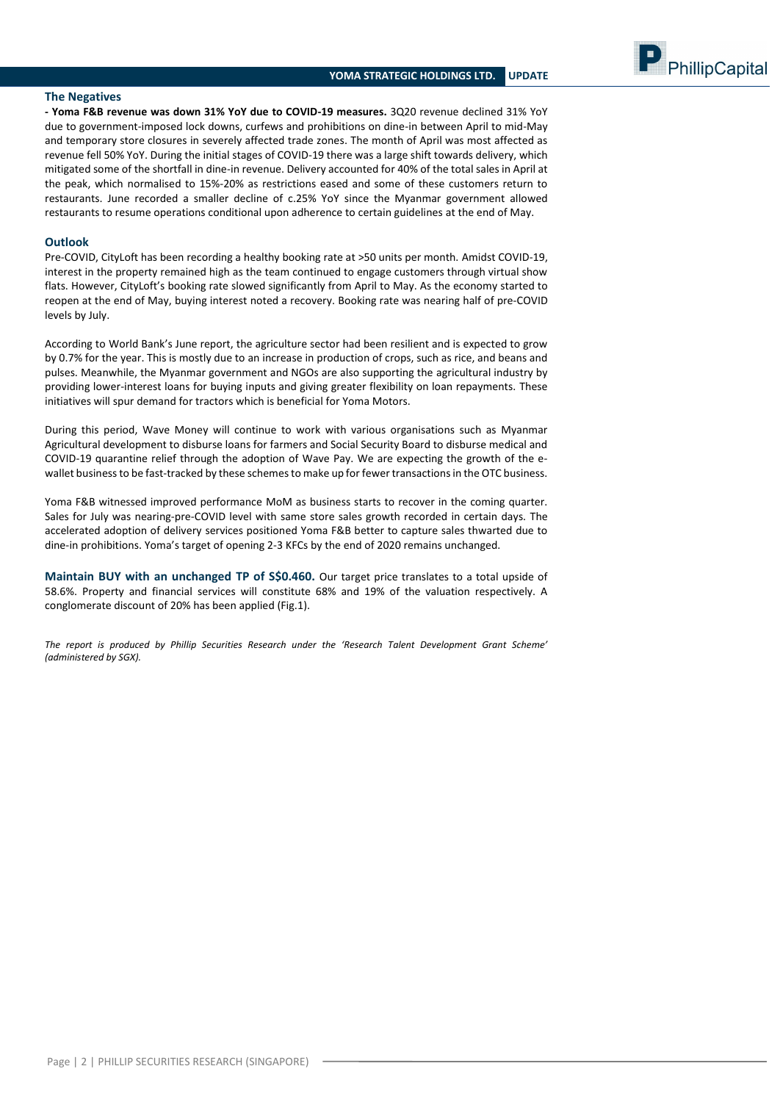PhillipCapital

#### **The Negatives**

**- Yoma F&B revenue was down 31% YoY due to COVID-19 measures.** 3Q20 revenue declined 31% YoY due to government-imposed lock downs, curfews and prohibitions on dine-in between April to mid-May and temporary store closures in severely affected trade zones. The month of April was most affected as revenue fell 50% YoY. During the initial stages of COVID-19 there was a large shift towards delivery, which mitigated some of the shortfall in dine-in revenue. Delivery accounted for 40% of the total sales in April at the peak, which normalised to 15%-20% as restrictions eased and some of these customers return to restaurants. June recorded a smaller decline of c.25% YoY since the Myanmar government allowed restaurants to resume operations conditional upon adherence to certain guidelines at the end of May.

## **Outlook**

Pre-COVID, CityLoft has been recording a healthy booking rate at >50 units per month. Amidst COVID-19, interest in the property remained high as the team continued to engage customers through virtual show flats. However, CityLoft's booking rate slowed significantly from April to May. As the economy started to reopen at the end of May, buying interest noted a recovery. Booking rate was nearing half of pre-COVID levels by July.

According to World Bank's June report, the agriculture sector had been resilient and is expected to grow by 0.7% for the year. This is mostly due to an increase in production of crops, such as rice, and beans and pulses. Meanwhile, the Myanmar government and NGOs are also supporting the agricultural industry by providing lower-interest loans for buying inputs and giving greater flexibility on loan repayments. These initiatives will spur demand for tractors which is beneficial for Yoma Motors.

During this period, Wave Money will continue to work with various organisations such as Myanmar Agricultural development to disburse loans for farmers and Social Security Board to disburse medical and COVID-19 quarantine relief through the adoption of Wave Pay. We are expecting the growth of the ewallet business to be fast-tracked by these schemesto make up for fewer transactions in the OTC business.

Yoma F&B witnessed improved performance MoM as business starts to recover in the coming quarter. Sales for July was nearing-pre-COVID level with same store sales growth recorded in certain days. The accelerated adoption of delivery services positioned Yoma F&B better to capture sales thwarted due to dine-in prohibitions. Yoma's target of opening 2-3 KFCs by the end of 2020 remains unchanged.

**Maintain BUY with an unchanged TP of S\$0.460.** Our target price translates to a total upside of 58.6%. Property and financial services will constitute 68% and 19% of the valuation respectively. A conglomerate discount of 20% has been applied (Fig.1).

*The report is produced by Phillip Securities Research under the 'Research Talent Development Grant Scheme' (administered by SGX).*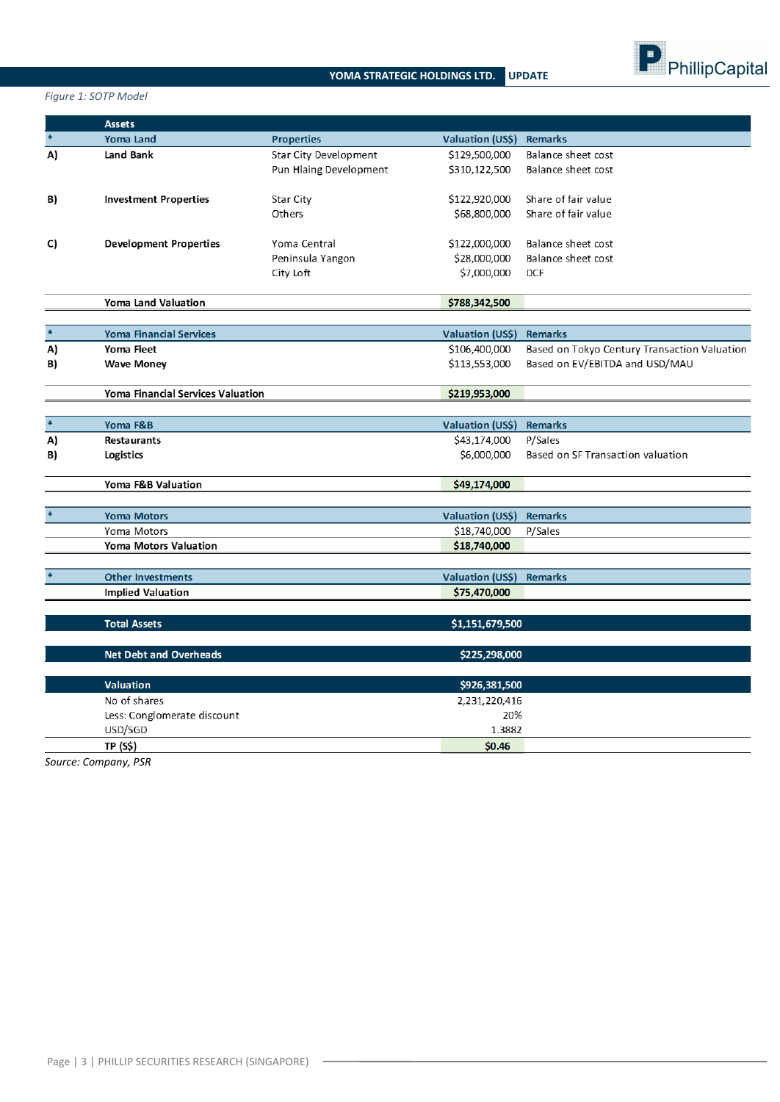

*Figure 1: SOTP Model*

|        | <b>Assets</b>                            |                              |                                         |                                              |
|--------|------------------------------------------|------------------------------|-----------------------------------------|----------------------------------------------|
|        | <b>Yoma Land</b>                         | <b>Properties</b>            | <b>Valuation (US\$)</b>                 | <b>Remarks</b>                               |
| A)     | Land Bank                                | <b>Star City Development</b> | \$129,500,000                           | Balance sheet cost                           |
|        |                                          | Pun Hlaing Development       | \$310,122,500                           | Balance sheet cost                           |
|        |                                          |                              |                                         |                                              |
| B)     | <b>Investment Properties</b>             | Star City                    | \$122,920,000                           | Share of fair value                          |
|        |                                          | Others                       | \$68,800,000                            | Share of fair value                          |
|        |                                          |                              |                                         |                                              |
| C)     | <b>Development Properties</b>            | Yoma Central                 | \$122,000,000                           | Balance sheet cost                           |
|        |                                          | Peninsula Yangon             | \$28,000,000                            | Balance sheet cost                           |
|        |                                          | City Loft                    | \$7,000,000                             | <b>DCF</b>                                   |
|        | Yoma Land Valuation                      |                              | \$788,342,500                           |                                              |
|        |                                          |                              |                                         |                                              |
|        | <b>Yoma Financial Services</b>           |                              | <b>Valuation (US\$)</b>                 | Remarks                                      |
| A)     | Yoma Fleet                               |                              | \$106,400,000                           | Based on Tokyo Century Transaction Valuation |
| B)     | <b>Wave Money</b>                        |                              | \$113,553,000                           | Based on EV/EBITDA and USD/MAU               |
|        |                                          |                              |                                         |                                              |
|        | <b>Yoma Financial Services Valuation</b> |                              | \$219,953,000                           |                                              |
|        |                                          |                              |                                         |                                              |
| $\ast$ | Yoma F&B                                 |                              | Valuation (US\$)                        | <b>Remarks</b>                               |
| A)     | <b>Restaurants</b>                       |                              | \$43,174,000                            | P/Sales                                      |
| B)     | Logistics                                |                              | \$6,000,000                             | Based on SF Transaction valuation            |
|        |                                          |                              |                                         |                                              |
|        | Yoma F&B Valuation                       |                              | \$49,174,000                            |                                              |
|        |                                          |                              |                                         |                                              |
|        | <b>Yoma Motors</b>                       |                              | Valuation (US\$)                        | <b>Remarks</b>                               |
|        | Yoma Motors                              |                              | \$18,740,000                            | P/Sales                                      |
|        | <b>Yoma Motors Valuation</b>             |                              | \$18,740,000                            |                                              |
|        | <b>Other Investments</b>                 |                              |                                         |                                              |
|        |                                          |                              | <b>Valuation (US\$)</b><br>\$75,470,000 | <b>Remarks</b>                               |
|        | <b>Implied Valuation</b>                 |                              |                                         |                                              |
|        | <b>Total Assets</b>                      |                              | \$1,151,679,500                         |                                              |
|        |                                          |                              |                                         |                                              |
|        | <b>Net Debt and Overheads</b>            |                              | \$225,298,000                           |                                              |
|        |                                          |                              |                                         |                                              |
|        | <b>Valuation</b>                         |                              | \$926,381,500                           |                                              |
|        | No of shares                             |                              | 2,231,220,416                           |                                              |
|        | Less: Conglomerate discount              |                              | 20%                                     |                                              |
|        | USD/SGD                                  |                              | 1.3882                                  |                                              |
|        | <b>TP (S\$)</b>                          |                              | \$0.46                                  |                                              |

*Source: Company, PSR*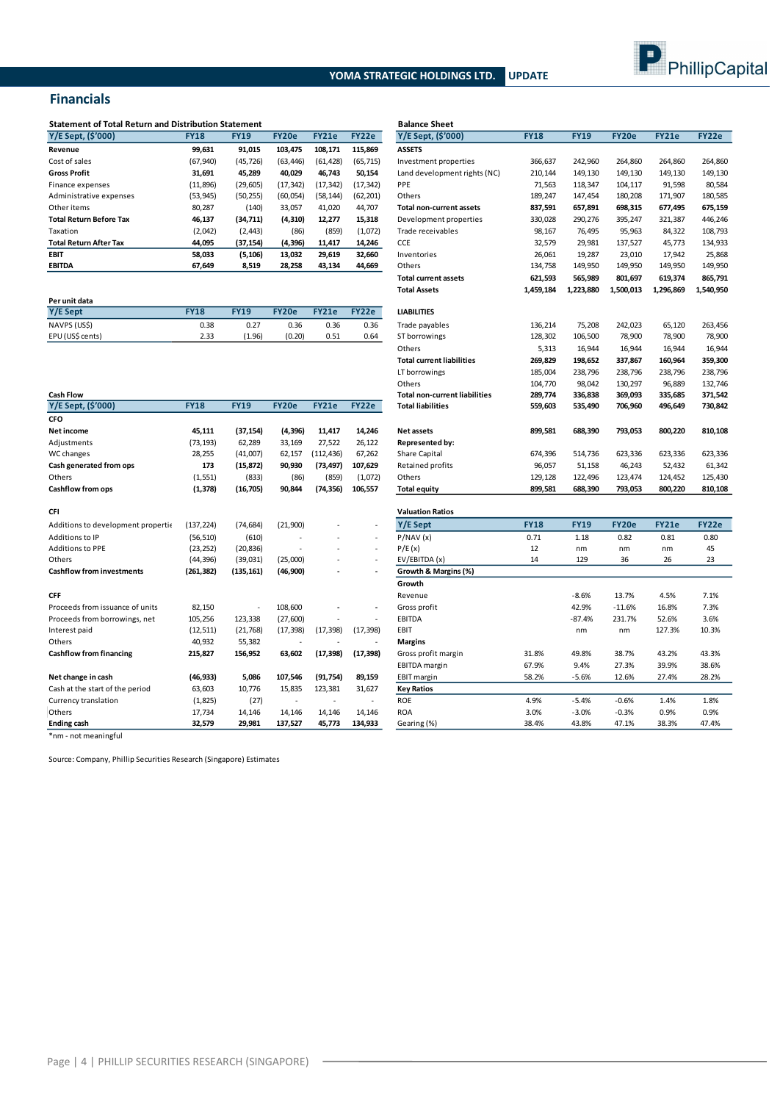

## **Financials**

| <b>Statement of Total Return and Distribution Statement</b> |             | <b>Balance Sheet</b> |           |           |           |                                 |             |             |         |              |        |
|-------------------------------------------------------------|-------------|----------------------|-----------|-----------|-----------|---------------------------------|-------------|-------------|---------|--------------|--------|
| Y/E Sept, (\$'000)                                          | <b>FY18</b> | <b>FY19</b>          | FY20e     | FY21e     | FY22e     | Y/E Sept, (\$'000)              | <b>FY18</b> | <b>FY19</b> | FY20e   | <b>FY21e</b> | FY22e  |
| Revenue                                                     | 99,631      | 91.015               | 103.475   | 108.171   | 115.869   | <b>ASSETS</b>                   |             |             |         |              |        |
| Cost of sales                                               | (67, 940)   | (45, 726)            | (63, 446) | (61, 428) | (65, 715) | Investment properties           | 366,637     | 242,960     | 264,860 | 264,860      | 264,86 |
| <b>Gross Profit</b>                                         | 31,691      | 45,289               | 40,029    | 46,743    | 50,154    | Land development rights (NC)    | 210,144     | 149,130     | 149,130 | 149,130      | 149,13 |
| Finance expenses                                            | (11, 896)   | (29, 605)            | (17, 342) | (17, 342) | (17, 342) | <b>PPE</b>                      | 71,563      | 118,347     | 104,117 | 91,598       | 80,58  |
| Administrative expenses                                     | (53, 945)   | (50, 255)            | (60,054)  | (58, 144) | (62, 201) | Others                          | 189,247     | 147.454     | 180,208 | 171,907      | 180,58 |
| Other items                                                 | 80,287      | (140)                | 33,057    | 41,020    | 44.707    | <b>Total non-current assets</b> | 837,591     | 657,891     | 698,315 | 677,495      | 675,15 |
| <b>Total Return Before Tax</b>                              | 46,137      | (34, 711)            | (4, 310)  | 12,277    | 15,318    | Development properties          | 330,028     | 290,276     | 395,247 | 321,387      | 446.24 |
| Taxation                                                    | (2,042)     | (2, 443)             | (86)      | (859)     | (1,072)   | Trade receivables               | 98,167      | 76,495      | 95,963  | 84,322       | 108,79 |
| <b>Total Return After Tax</b>                               | 44,095      | (37, 154)            | (4, 396)  | 11,417    | 14,246    | <b>CCE</b>                      | 32,579      | 29,981      | 137,527 | 45,773       | 134,93 |
| <b>EBIT</b>                                                 | 58,033      | (5, 106)             | 13,032    | 29,619    | 32.660    | Inventories                     | 26,061      | 19.287      | 23,010  | 17,942       | 25,86  |
| <b>EBITDA</b>                                               | 67,649      | 8,519                | 28,258    | 43,134    | 44,669    | Others                          | 134,758     | 149,950     | 149,950 | 149,950      | 149,95 |

| Per unit data    |             |             |        |       |       |                    |
|------------------|-------------|-------------|--------|-------|-------|--------------------|
| Y/E Sept         | <b>FY18</b> | <b>FY19</b> | FY20e  | FY21e | FY22e | <b>LIABILITIES</b> |
| NAVPS (USS)      | 0.38        | 0.27        | 0.36   | 0.36  | 0.36  | Trade paya         |
| EPU (US\$ cents) | 2.33        | (1.96)      | (0.20) | 0.51  | 0.64  | ST borrowi         |
|                  |             |             |        |       |       |                    |

| <b>Cash Flow</b>                   |             |                          |           |              |                          | <b>Total non-current liabilities</b> | 289,774     | 336,838     | 369,093      | 335,685      | 371,542 |
|------------------------------------|-------------|--------------------------|-----------|--------------|--------------------------|--------------------------------------|-------------|-------------|--------------|--------------|---------|
| Y/E Sept, (\$'000)                 | <b>FY18</b> | <b>FY19</b>              | FY20e     | <b>FY21e</b> | FY22e                    | <b>Total liabilities</b>             | 559,603     | 535,490     | 706,960      | 496,649      | 730,842 |
| <b>CFO</b>                         |             |                          |           |              |                          |                                      |             |             |              |              |         |
| Net income                         | 45,111      | (37, 154)                | (4, 396)  | 11,417       | 14,246                   | <b>Net assets</b>                    | 899,581     | 688,390     | 793,053      | 800,220      | 810,108 |
| Adjustments                        | (73, 193)   | 62.289                   | 33,169    | 27,522       | 26,122                   | Represented by:                      |             |             |              |              |         |
| WC changes                         | 28,255      | (41,007)                 | 62,157    | (112, 436)   | 67,262                   | Share Capital                        | 674,396     | 514,736     | 623,336      | 623,336      | 623,336 |
| Cash generated from ops            | 173         | (15, 872)                | 90,930    | (73, 497)    | 107,629                  | Retained profits                     | 96,057      | 51,158      | 46,243       | 52,432       | 61,342  |
| Others                             | (1, 551)    | (833)                    | (86)      | (859)        | (1,072)                  | Others                               | 129,128     | 122,496     | 123,474      | 124,452      | 125,430 |
| Cashflow from ops                  | (1, 378)    | (16, 705)                | 90,844    | (74, 356)    | 106,557                  | <b>Total equity</b>                  | 899,581     | 688,390     | 793,053      | 800,220      | 810,108 |
| CFI                                |             |                          |           |              |                          | <b>Valuation Ratios</b>              |             |             |              |              |         |
| Additions to development propertic | (137, 224)  | (74, 684)                | (21,900)  |              | $\overline{\phantom{a}}$ | Y/E Sept                             | <b>FY18</b> | <b>FY19</b> | <b>FY20e</b> | <b>FY21e</b> | FY22e   |
| Additions to IP                    | (56, 510)   | (610)                    |           |              | $\overline{\phantom{a}}$ | P/NAV(x)                             | 0.71        | 1.18        | 0.82         | 0.81         | 0.80    |
| <b>Additions to PPE</b>            | (23, 252)   | (20, 836)                | $\sim$    |              | $\overline{\phantom{a}}$ | P/E(x)                               | 12          | nm          | nm           | nm           | 45      |
| Others                             | (44, 396)   | (39,031)                 | (25,000)  |              | $\overline{\phantom{a}}$ | EV/EBITDA (x)                        | 14          | 129         | 36           | 26           | 23      |
| <b>Cashflow from investments</b>   | (261, 382)  | (135, 161)               | (46,900)  |              |                          | Growth & Margins (%)                 |             |             |              |              |         |
|                                    |             |                          |           |              |                          | Growth                               |             |             |              |              |         |
| <b>CFF</b>                         |             |                          |           |              |                          | Revenue                              |             | $-8.6%$     | 13.7%        | 4.5%         | 7.1%    |
| Proceeds from issuance of units    | 82,150      | $\overline{\phantom{a}}$ | 108,600   |              |                          | Gross profit                         |             | 42.9%       | $-11.6%$     | 16.8%        | 7.3%    |
| Proceeds from borrowings, net      | 105,256     | 123,338                  | (27,600)  |              |                          | <b>EBITDA</b>                        |             | $-87.4%$    | 231.7%       | 52.6%        | 3.6%    |
| Interest paid                      | (12, 511)   | (21,768)                 | (17, 398) | (17, 398)    | (17, 398)                | EBIT                                 |             | nm          | nm           | 127.3%       | 10.3%   |
| Others                             | 40,932      | 55,382                   |           |              | $\overline{\phantom{a}}$ | <b>Margins</b>                       |             |             |              |              |         |
| <b>Cashflow from financing</b>     | 215,827     | 156,952                  | 63,602    | (17, 398)    | (17, 398)                | Gross profit margin                  | 31.8%       | 49.8%       | 38.7%        | 43.2%        | 43.3%   |
|                                    |             |                          |           |              |                          | <b>EBITDA</b> margin                 | 67.9%       | 9.4%        | 27.3%        | 39.9%        | 38.6%   |
| Net change in cash                 | (46, 933)   | 5,086                    | 107,546   | (91, 754)    | 89,159                   | <b>EBIT</b> margin                   | 58.2%       | $-5.6%$     | 12.6%        | 27.4%        | 28.2%   |
| Cash at the start of the period    | 63,603      | 10,776                   | 15,835    | 123,381      | 31,627                   | <b>Key Ratios</b>                    |             |             |              |              |         |
| Currency translation               | (1,825)     | (27)                     |           |              |                          | <b>ROE</b>                           | 4.9%        | $-5.4%$     | $-0.6%$      | 1.4%         | 1.8%    |
| Others                             | 17,734      | 14,146                   | 14,146    | 14,146       | 14,146                   | <b>ROA</b>                           | 3.0%        | $-3.0%$     | $-0.3%$      | 0.9%         | 0.9%    |
| <b>Ending cash</b>                 | 32,579      | 29,981                   | 137,527   | 45,773       | 134,933                  | Gearing (%)                          | 38.4%       | 43.8%       | 47.1%        | 38.3%        | 47.4%   |

| <b>Statement of Total Return and Distribution Statement</b> |                  |                  |                  |                  | <b>Balance Sheet</b>     |                                      |               |                  |                  |               |               |
|-------------------------------------------------------------|------------------|------------------|------------------|------------------|--------------------------|--------------------------------------|---------------|------------------|------------------|---------------|---------------|
| Y/E Sept, (\$'000)                                          | <b>FY18</b>      | <b>FY19</b>      | <b>FY20e</b>     | <b>FY21e</b>     | FY22e                    | Y/E Sept, (\$'000)                   | <b>FY18</b>   | <b>FY19</b>      | FY20e            | <b>FY21e</b>  | FY22e         |
| Revenue                                                     | 99,631           | 91,015           | 103,475          | 108,171          | 115,869                  | <b>ASSETS</b>                        |               |                  |                  |               |               |
| Cost of sales                                               | (67, 940)        | (45, 726)        | (63, 446)        | (61, 428)        | (65, 715)                | Investment properties                | 366,637       | 242,960          | 264,860          | 264,860       | 264,860       |
| <b>Gross Profit</b>                                         | 31,691           | 45,289           | 40,029           | 46,743           | 50,154                   | Land development rights (NC)         | 210,144       | 149,130          | 149,130          | 149,130       | 149,130       |
| Finance expenses                                            | (11, 896)        | (29, 605)        | (17, 342)        | (17, 342)        | (17, 342)                | PPE                                  | 71,563        | 118,347          | 104,117          | 91,598        | 80,584        |
| Administrative expenses                                     | (53, 945)        | (50, 255)        | (60,054)         | (58, 144)        | (62, 201)                | Others                               | 189,247       | 147,454          | 180,208          | 171,907       | 180,585       |
| Other items                                                 | 80,287           | (140)            | 33,057           | 41,020           | 44,707                   | <b>Total non-current assets</b>      | 837,591       | 657,891          | 698,315          | 677,495       | 675,159       |
| <b>Total Return Before Tax</b>                              | 46,137           | (34, 711)        | (4, 310)         | 12,277           | 15,318                   | Development properties               | 330,028       | 290,276          | 395,247          | 321,387       | 446,246       |
| Taxation                                                    | (2,042)          | (2, 443)         | (86)             | (859)            | (1,072)                  | Trade receivables                    | 98,167        | 76,495           | 95,963           | 84,322        | 108,793       |
| Total Return After Tax                                      | 44,095           | (37, 154)        | (4, 396)         | 11,417           | 14,246                   | CCE                                  | 32,579        | 29,981           | 137,527          | 45,773        | 134,933       |
| EBIT                                                        | 58,033           | (5, 106)         | 13,032           | 29,619           | 32,660                   | Inventories                          | 26,061        | 19,287           | 23,010           | 17,942        | 25,868        |
| EBITDA                                                      | 67,649           | 8,519            | 28,258           | 43,134           | 44,669                   | Others                               | 134,758       | 149,950          | 149,950          | 149,950       | 149,950       |
|                                                             |                  |                  |                  |                  |                          | <b>Total current assets</b>          | 621,593       | 565,989          | 801,697          | 619,374       | 865,791       |
|                                                             |                  |                  |                  |                  |                          | <b>Total Assets</b>                  | 1,459,184     | 1,223,880        | 1,500,013        | 1,296,869     | 1,540,950     |
| Per unit data                                               |                  |                  |                  |                  |                          |                                      |               |                  |                  |               |               |
| Y/E Sept                                                    | <b>FY18</b>      | <b>FY19</b>      | <b>FY20e</b>     | <b>FY21e</b>     | FY22e                    | <b>LIABILITIES</b>                   |               |                  |                  |               |               |
| NAVPS (US\$)                                                | 0.38             | 0.27             | 0.36             | 0.36             | 0.36                     | Trade payables                       | 136,214       | 75,208           | 242,023          | 65,120        | 263,456       |
| EPU (US\$ cents)                                            | 2.33             | (1.96)           | (0.20)           | 0.51             | 0.64                     | ST borrowings                        | 128,302       | 106,500          | 78,900           | 78,900        | 78,900        |
|                                                             |                  |                  |                  |                  |                          | Others                               | 5,313         | 16,944           | 16,944           | 16,944        | 16,944        |
|                                                             |                  |                  |                  |                  |                          | <b>Total current liabilities</b>     | 269,829       | 198,652          | 337,867          | 160,964       | 359,300       |
|                                                             |                  |                  |                  |                  |                          | LT borrowings                        | 185,004       | 238,796          | 238,796          | 238,796       | 238,796       |
|                                                             |                  |                  |                  |                  |                          | Others                               | 104,770       | 98,042           | 130,297          | 96,889        | 132,746       |
| <b>Cash Flow</b>                                            |                  |                  |                  |                  |                          | <b>Total non-current liabilities</b> | 289,774       | 336,838          | 369,093          | 335,685       | 371,542       |
| Y/E Sept, (\$'000)                                          | <b>FY18</b>      | <b>FY19</b>      | <b>FY20e</b>     | <b>FY21e</b>     | FY22e                    | <b>Total liabilities</b>             | 559,603       | 535,490          | 706,960          | 496,649       | 730,842       |
| CFO                                                         |                  |                  |                  |                  |                          |                                      |               |                  |                  |               |               |
| Net income                                                  | 45,111           | (37, 154)        | (4, 396)         | 11,417           | 14,246                   | <b>Net assets</b>                    | 899,581       | 688,390          | 793,053          | 800,220       | 810,108       |
| Adjustments                                                 | (73, 193)        | 62,289           | 33,169           | 27,522           | 26,122                   | Represented by:                      |               |                  |                  |               |               |
| WC changes                                                  | 28,255           | (41,007)         | 62,157           | (112, 436)       | 67,262                   | Share Capital                        | 674,396       | 514,736          | 623,336          | 623,336       | 623,336       |
| Cash generated from ops                                     | 173              | (15, 872)        | 90,930           | (73, 497)        | 107,629                  | Retained profits                     | 96,057        | 51,158           | 46,243           | 52,432        | 61,342        |
| Others                                                      | (1, 551)         | (833)            | (86)             | (859)            | (1,072)                  | Others                               | 129,128       | 122,496          | 123,474          | 124,452       | 125,430       |
| <b>Cashflow from ops</b>                                    | (1, 378)         | (16, 705)        | 90,844           | (74, 356)        | 106,557                  | <b>Total equity</b>                  | 899,581       | 688,390          | 793,053          | 800,220       | 810,108       |
| CFI                                                         |                  |                  |                  |                  |                          | <b>Valuation Ratios</b>              |               |                  |                  |               |               |
| Additions to development propertie                          | (137, 224)       | (74, 684)        | (21,900)         |                  |                          | Y/E Sept                             | <b>FY18</b>   | <b>FY19</b>      | <b>FY20e</b>     | <b>FY21e</b>  | FY22e         |
| Additions to IP                                             | (56, 510)        | (610)            |                  |                  |                          | P/NAV(x)                             | 0.71          | 1.18             | 0.82             | 0.81          | 0.80          |
| <b>Additions to PPE</b>                                     | (23, 252)        | (20, 836)        |                  |                  |                          | P/E(x)                               | 12            | nm               | nm               | nm            | 45            |
| Others                                                      | (44, 396)        | (39, 031)        | (25,000)         |                  | $\overline{\phantom{a}}$ | EV/EBITDA (x)                        | 14            | 129              | 36               | 26            | 23            |
| <b>Cashflow from investments</b>                            | (261, 382)       | (135, 161)       | (46,900)         |                  |                          | Growth & Margins (%)                 |               |                  |                  |               |               |
|                                                             |                  |                  |                  |                  |                          | Growth                               |               |                  |                  |               |               |
| CFF                                                         |                  |                  |                  |                  |                          | Revenue                              |               | $-8.6%$          | 13.7%            | 4.5%          | 7.1%          |
| Proceeds from issuance of units                             | 82,150           |                  | 108,600          |                  | $\blacksquare$           | Gross profit                         |               | 42.9%            | $-11.6%$         | 16.8%         | 7.3%          |
| Proceeds from borrowings, net                               | 105,256          | 123,338          | (27,600)         |                  |                          | EBITDA                               |               | $-87.4%$         | 231.7%           | 52.6%         | 3.6%          |
|                                                             |                  |                  |                  |                  |                          | EBIT                                 |               | nm               | nm               | 127.3%        | 10.3%         |
| Interest paid                                               | (12, 511)        | (21, 768)        | (17, 398)        | (17, 398)        | (17, 398)                |                                      |               |                  |                  |               |               |
| Others                                                      | 40,932           | 55,382           |                  |                  |                          | <b>Margins</b>                       |               |                  |                  |               |               |
| <b>Cashflow from financing</b>                              | 215,827          | 156,952          | 63,602           | (17, 398)        | (17, 398)                | Gross profit margin                  | 31.8%         | 49.8%            | 38.7%            | 43.2%         | 43.3%         |
|                                                             |                  |                  |                  |                  |                          | EBITDA margin                        | 67.9%         | 9.4%             | 27.3%            | 39.9%         | 38.6%         |
| Net change in cash                                          | (46, 933)        | 5,086            | 107,546          | (91, 754)        | 89,159                   | <b>EBIT margin</b>                   | 58.2%         | $-5.6%$          | 12.6%            | 27.4%         | 28.2%         |
| Cash at the start of the period                             | 63,603           | 10,776           | 15,835           | 123,381          | 31,627                   | <b>Key Ratios</b>                    |               |                  |                  |               |               |
| Currency translation                                        | (1,825)          | (27)             |                  |                  | ÷.                       | <b>ROE</b>                           | 4.9%          | $-5.4%$          | $-0.6%$          | 1.4%          | 1.8%          |
| Others<br>Ending rash                                       | 17,734<br>32.579 | 14,146<br>29 981 | 14,146<br>137527 | 14,146<br>45 773 | 14,146<br>134 933        | <b>ROA</b><br>Gearing (%)            | 3.0%<br>38.4% | $-3.0%$<br>43.8% | $-0.3%$<br>47 1% | 0.9%<br>38 3% | 0.9%<br>47 4% |
|                                                             |                  |                  |                  |                  |                          |                                      |               |                  |                  |               |               |

\*nm - not meaningful

Source: Company, Phillip Securities Research (Singapore) Estimates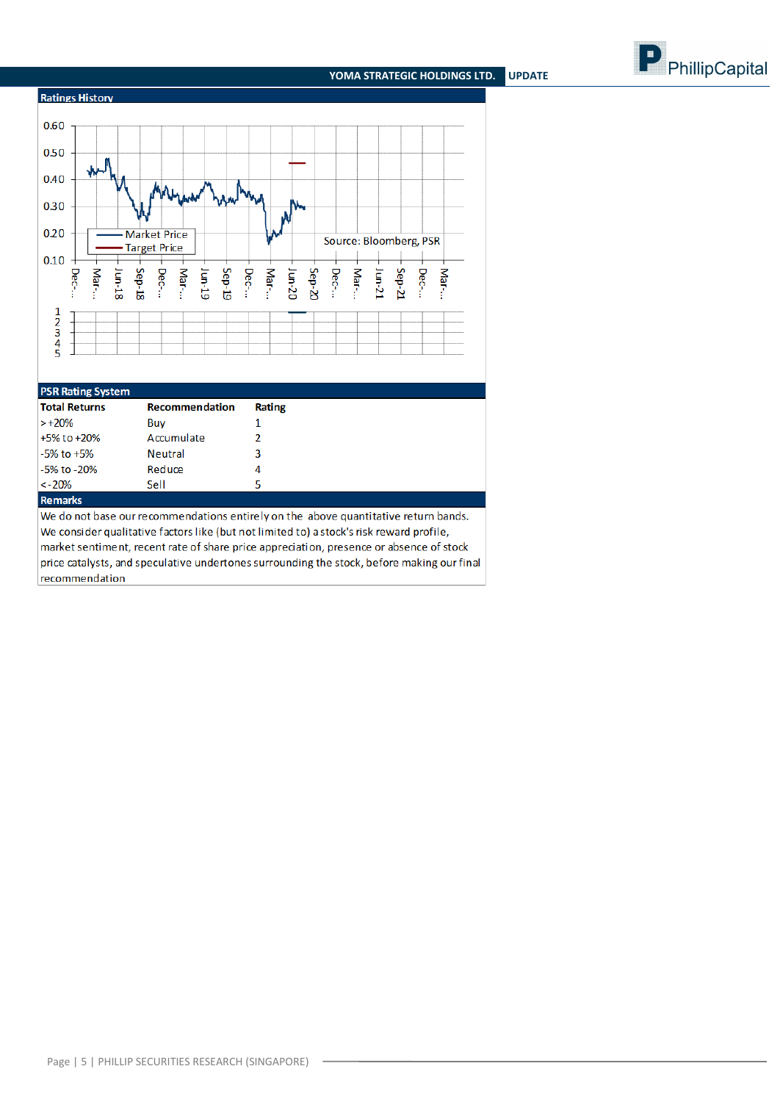



| 1.91111411148.9791111                                                               |                       |                                                                                         |  |  |  |  |  |  |
|-------------------------------------------------------------------------------------|-----------------------|-----------------------------------------------------------------------------------------|--|--|--|--|--|--|
| <b>Total Returns</b>                                                                | <b>Recommendation</b> | Rating                                                                                  |  |  |  |  |  |  |
| $> +20\%$                                                                           | Buv                   |                                                                                         |  |  |  |  |  |  |
| +5% to +20%                                                                         | Accumulate            |                                                                                         |  |  |  |  |  |  |
| $-5\%$ to $+5\%$                                                                    | <b>Neutral</b>        | 3                                                                                       |  |  |  |  |  |  |
| -5% to -20%                                                                         | Reduce                | 4                                                                                       |  |  |  |  |  |  |
| $\leq -20\%$                                                                        | Sell                  | 5                                                                                       |  |  |  |  |  |  |
| <b>Remarks</b>                                                                      |                       |                                                                                         |  |  |  |  |  |  |
| We do not base our recommendations entirely on the above quantitative return bands. |                       |                                                                                         |  |  |  |  |  |  |
|                                                                                     |                       | Ne consider qualitative factors like (but not limited to) a stock's risk reward profile |  |  |  |  |  |  |

alitative factors like (but not limited to) a stock's risk reward profile, market sentiment, recent rate of share price appreciation, presence or absence of stock price catalysts, and speculative undertones surrounding the stock, before making our final recommendation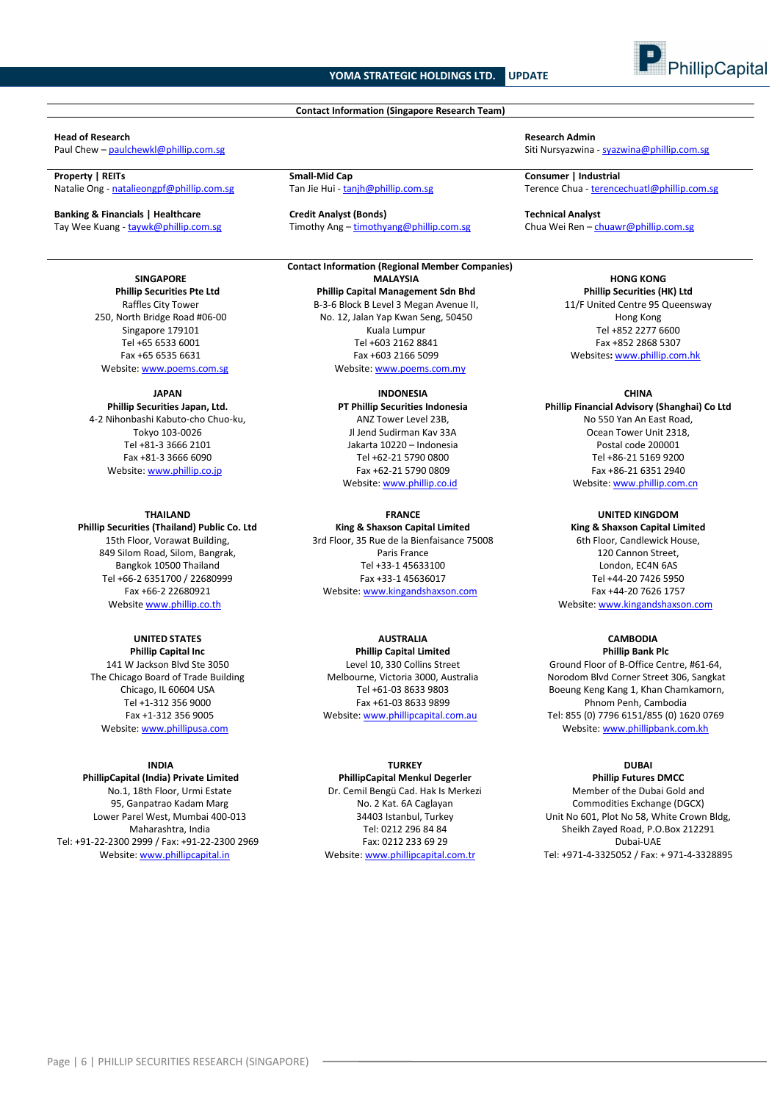### **Contact Information (Singapore Research Team)**

**Property | REITs Small-Mid Cap Consumer | Industrial** 

**Banking & Financials | Healthcare Credit Analyst (Bonds) Technical Analyst**

**SINGAPORE**

**Phillip Securities Pte Ltd** Raffles City Tower 250, North Bridge Road #06-00 Singapore 179101 Tel +65 6533 6001 Fax +65 6535 6631 Website[: www.poems.com.sg](http://www.poems.com.sg/)

**JAPAN**

**Phillip Securities Japan, Ltd.** 4-2 Nihonbashi Kabuto-cho Chuo-ku, Tokyo 103-0026 Tel +81-3 3666 2101 Fax +81-3 3666 6090 Website[: www.phillip.co.jp](http://www.phillip.co.jp/)

**THAILAND Phillip Securities (Thailand) Public Co. Ltd** 15th Floor, Vorawat Building, 849 Silom Road, Silom, Bangrak, Bangkok 10500 Thailand Tel +66-2 6351700 / 22680999 Fax +66-2 22680921 Website [www.phillip.co.th](http://www.phillip.co.th/)

**UNITED STATES Phillip Capital Inc** 141 W Jackson Blvd Ste 3050 The Chicago Board of Trade Building Chicago, IL 60604 USA Tel +1-312 356 9000 Fax +1-312 356 9005 Website[: www.phillipusa.com](http://www.phillipusa.com/)

#### **INDIA**

**PhillipCapital (India) Private Limited** No.1, 18th Floor, Urmi Estate 95, Ganpatrao Kadam Marg Lower Parel West, Mumbai 400-013 Maharashtra, India Tel: +91-22-2300 2999 / Fax: +91-22-2300 2969 Website[: www.phillipcapital.in](http://www.phillipcapital.in/)

Tay Wee Kuang - [taywk@phillip.com.sg](mailto:taywk@phillip.com.sg) Timothy Ang – [timothyang@phillip.com.sg](mailto:timothyang@phillip.com.sg) Chua Wei Ren – chuawr@phillip.com.sg

**Contact Information (Regional Member Companies) MALAYSIA Phillip Capital Management Sdn Bhd** B-3-6 Block B Level 3 Megan Avenue II, No. 12, Jalan Yap Kwan Seng, 50450 Kuala Lumpur Tel +603 2162 8841 Fax +603 2166 5099 Website[: www.poems.com.my](http://www.poems.com.my/)

> **INDONESIA PT Phillip Securities Indonesia** ANZ Tower Level 23B, Jl Jend Sudirman Kav 33A Jakarta 10220 – Indonesia

Tel +62-21 5790 0800 Fax +62-21 5790 0809 Website: [www.phillip.co.id](http://www.phillip.co.id/)

**FRANCE King & Shaxson Capital Limited** 3rd Floor, 35 Rue de la Bienfaisance 75008 Paris France Tel +33-1 45633100 Fax +33-1 45636017 Website[: www.kingandshaxson.com](http://www.kingandshaxson.com/)

**AUSTRALIA**

**Phillip Capital Limited** Level 10, 330 Collins Street Melbourne, Victoria 3000, Australia Tel +61-03 8633 9803 Fax +61-03 8633 9899 Website[: www.phillipcapital.com.au](http://www.phillipcapital.com.au/)

#### **TURKEY**

**PhillipCapital Menkul Degerler** Dr. Cemil Bengü Cad. Hak Is Merkezi No. 2 Kat. 6A Caglayan 34403 Istanbul, Turkey Tel: 0212 296 84 84 Fax: 0212 233 69 29 Website[: www.phillipcapital.com.tr](http://www.phillipcapital.com.tr/)

**Head of Research Admin**<br> **Paul Chew – <u>paulchewkl@phillip.com.se</u><br>
Siti Nursyazwina** Siti Nursyazwina - [syazwina@phillip.com.sg](mailto:syazwina@phillip.com.sg)

Natalie Ong - [natalieongpf@phillip.com.sg](mailto:natalieongpf@phillip.com.sg) Tan Jie Hui - [tanjh@phillip.com.sg](mailto:tanjh@phillip.com.sg) Terence Chua - [terencechuatl@phillip.com.sg](mailto:taywk@phillip.com.sg) Terence Chua - terencechuatl@phillip.com.sg

**HONG KONG Phillip Securities (HK) Ltd** 11/F United Centre 95 Queensway Hong Kong Tel +852 2277 6600 Fax +852 2868 5307 Websites**:** [www.phillip.com.hk](http://www.phillip.com.hk/)

**CHINA Phillip Financial Advisory (Shanghai) Co Ltd** No 550 Yan An East Road, Ocean Tower Unit 2318, Postal code 200001 Tel +86-21 5169 9200 Fax +86-21 6351 2940 Website[: www.phillip.com.cn](http://www.phillip.com.cn/)

**UNITED KINGDOM King & Shaxson Capital Limited** 6th Floor, Candlewick House, 120 Cannon Street, London, EC4N 6AS Tel +44-20 7426 5950 Fax +44-20 7626 1757 Website[: www.kingandshaxson.com](http://www.kingandshaxson.com/)

#### **CAMBODIA Phillip Bank Plc**

Ground Floor of B-Office Centre, #61-64, Norodom Blvd Corner Street 306, Sangkat Boeung Keng Kang 1, Khan Chamkamorn, Phnom Penh, Cambodia Tel: 855 (0) 7796 6151/855 (0) 1620 0769 Website[: www.phillipbank.com.kh](http://www.phillipbank.com.kh/)

## **DUBAI**

**Phillip Futures DMCC** Member of the Dubai Gold and Commodities Exchange (DGCX) Unit No 601, Plot No 58, White Crown Bldg, Sheikh Zayed Road, P.O.Box 212291 Dubai-UAE Tel: +971-4-3325052 / Fax: + 971-4-3328895